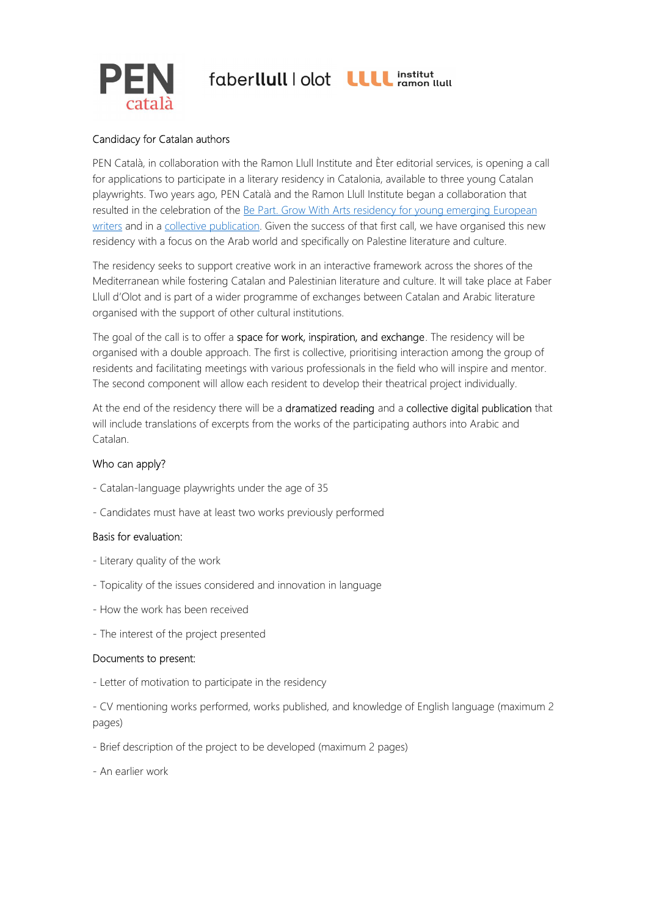

# faberllull | olot LLLL institut



## Candidacy for Catalan authors

PEN Català, in collaboration with the Ramon Llull Institute and Èter editorial services, is opening a call for applications to participate in a literary residency in Catalonia, available to three young Catalan playwrights. Two years ago, PEN Català and the Ramon Llull Institute began a collaboration that resulted in the celebration of the Be Part. Grow With Arts residency for young emerging European writers and in a collective publication. Given the success of that first call, we have organised this new residency with a focus on the Arab world and specifically on Palestine literature and culture.

The residency seeks to support creative work in an interactive framework across the shores of the Mediterranean while fostering Catalan and Palestinian literature and culture. It will take place at Faber Llull d'Olot and is part of a wider programme of exchanges between Catalan and Arabic literature organised with the support of other cultural institutions.

The goal of the call is to offer a space for work, inspiration, and exchange. The residency will be organised with a double approach. The first is collective, prioritising interaction among the group of residents and facilitating meetings with various professionals in the field who will inspire and mentor. The second component will allow each resident to develop their theatrical project individually.

At the end of the residency there will be a dramatized reading and a collective digital publication that will include translations of excerpts from the works of the participating authors into Arabic and Catalan.

## Who can apply?

- Catalan-language playwrights under the age of 35
- Candidates must have at least two works previously performed

## Basis for evaluation:

- Literary quality of the work
- Topicality of the issues considered and innovation in language
- How the work has been received
- The interest of the project presented

## Documents to present:

- Letter of motivation to participate in the residency

- CV mentioning works performed, works published, and knowledge of English language (maximum 2 pages)

- Brief description of the project to be developed (maximum 2 pages)
- An earlier work